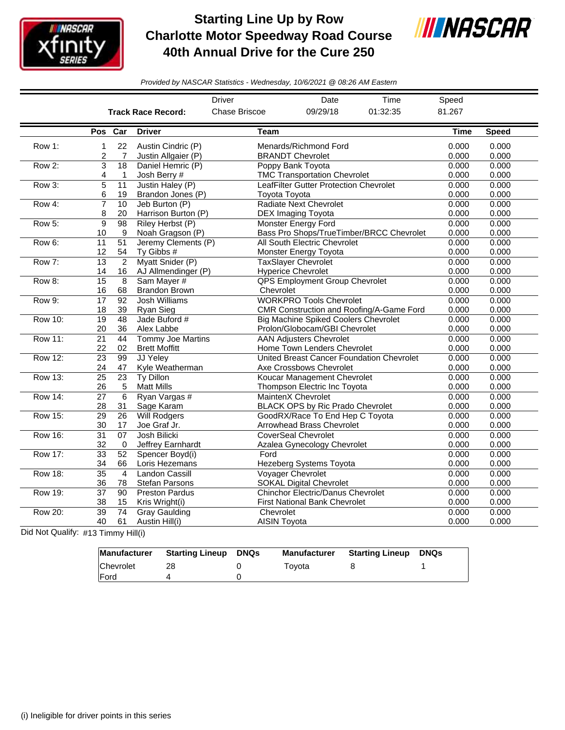

## **Starting Line Up by Row Charlotte Motor Speedway Road Course 40th Annual Drive for the Cure 250**



*Provided by NASCAR Statistics - Wednesday, 10/6/2021 @ 08:26 AM Eastern*

|                |                 |                      |                                          | <b>Driver</b>       | Date                                                     | Time                                     | Speed          |                |
|----------------|-----------------|----------------------|------------------------------------------|---------------------|----------------------------------------------------------|------------------------------------------|----------------|----------------|
|                |                 |                      | <b>Track Race Record:</b>                | Chase Briscoe       | 09/29/18                                                 | 01:32:35                                 | 81.267         |                |
|                | Pos Car         |                      | <b>Driver</b>                            | Team                |                                                          |                                          | <b>Time</b>    | <b>Speed</b>   |
| Row 1:         | 1               | 22                   | Austin Cindric (P)                       |                     | Menards/Richmond Ford                                    |                                          | 0.000          | 0.000          |
|                | 2               | 7<br>$\overline{18}$ | Justin Allgaier (P)<br>Daniel Hemric (P) |                     | <b>BRANDT Chevrolet</b>                                  |                                          | 0.000          | 0.000<br>0.000 |
| Row 2:         | 3               |                      |                                          |                     | Poppy Bank Toyota<br><b>TMC Transportation Chevrolet</b> |                                          | 0.000<br>0.000 | 0.000          |
|                | 4               | 1                    | Josh Berry #                             |                     | LeafFilter Gutter Protection Chevrolet                   |                                          |                |                |
| Row 3:         | 5<br>6          | 11<br>19             | Justin Haley (P)<br>Brandon Jones (P)    | Toyota Toyota       |                                                          | 0.000<br>0.000                           | 0.000<br>0.000 |                |
| Row 4:         | $\overline{7}$  | 10                   | Jeb Burton (P)                           |                     | <b>Radiate Next Chevrolet</b>                            | 0.000                                    | 0.000          |                |
|                | 8               | 20                   | Harrison Burton (P)                      |                     | DEX Imaging Toyota                                       |                                          | 0.000          | 0.000          |
| Row 5:         | 9               | 98                   | Riley Herbst (P)                         |                     | <b>Monster Energy Ford</b>                               |                                          | 0.000          | 0.000          |
|                | 10              | 9                    | Noah Gragson (P)                         |                     |                                                          | Bass Pro Shops/TrueTimber/BRCC Chevrolet | 0.000          | 0.000          |
| Row 6:         | 11              | 51                   | Jeremy Clements (P)                      |                     | All South Electric Chevrolet                             |                                          | 0.000          | 0.000          |
|                | 12              | 54                   | Ty Gibbs #                               |                     | Monster Energy Toyota                                    |                                          | 0.000          | 0.000          |
| Row 7:         | $\overline{13}$ | $\overline{2}$       | Myatt Snider (P)                         |                     | <b>TaxSlayer Chevrolet</b>                               |                                          | 0.000          | 0.000          |
|                | 14              | 16                   | AJ Allmendinger (P)                      |                     | <b>Hyperice Chevrolet</b>                                |                                          | 0.000          | 0.000          |
| Row 8:         | $\overline{15}$ | 8                    | Sam Mayer #                              |                     | <b>QPS Employment Group Chevrolet</b>                    |                                          | 0.000          | 0.000          |
|                | 16              | 68                   | <b>Brandon Brown</b>                     | Chevrolet           |                                                          |                                          | 0.000          | 0.000          |
| Row 9:         | 17              | 92                   | <b>Josh Williams</b>                     |                     | <b>WORKPRO Tools Chevrolet</b>                           |                                          | 0.000          | 0.000          |
|                | 18              | 39                   | Ryan Sieg                                |                     |                                                          | CMR Construction and Roofing/A-Game Ford | 0.000          | 0.000          |
| <b>Row 10:</b> | 19              | 48                   | Jade Buford #                            |                     | <b>Big Machine Spiked Coolers Chevrolet</b>              |                                          | 0.000          | 0.000          |
|                | 20              | 36                   | Alex Labbe                               |                     | Prolon/Globocam/GBI Chevrolet                            |                                          | 0.000          | 0.000          |
| <b>Row 11:</b> | $\overline{21}$ | 44                   | <b>Tommy Joe Martins</b>                 |                     | <b>AAN Adjusters Chevrolet</b>                           |                                          | 0.000          | 0.000          |
|                | 22              | 02                   | <b>Brett Moffitt</b>                     |                     | Home Town Lenders Chevrolet                              |                                          | 0.000          | 0.000          |
| <b>Row 12:</b> | 23              | 99                   | JJ Yeley                                 |                     | United Breast Cancer Foundation Chevrolet                |                                          | 0.000          | 0.000          |
|                | 24              | 47                   | Kyle Weatherman                          |                     | Axe Crossbows Chevrolet                                  |                                          | 0.000          | 0.000          |
| <b>Row 13:</b> | $\overline{25}$ | $\overline{23}$      | <b>Ty Dillon</b>                         |                     | Koucar Management Chevrolet                              |                                          | 0.000          | 0.000          |
|                | 26              | 5                    | <b>Matt Mills</b>                        |                     | Thompson Electric Inc Toyota                             |                                          | 0.000          | 0.000          |
| <b>Row 14:</b> | $\overline{27}$ | 6                    | Ryan Vargas #                            |                     | <b>MaintenX Chevrolet</b>                                |                                          | 0.000          | 0.000          |
|                | 28              | 31                   | Sage Karam                               |                     | <b>BLACK OPS by Ric Prado Chevrolet</b>                  |                                          | 0.000          | 0.000          |
| <b>Row 15:</b> | 29              | 26                   | <b>Will Rodgers</b>                      |                     | GoodRX/Race To End Hep C Toyota                          |                                          | 0.000          | 0.000          |
|                | 30              | 17                   | Joe Graf Jr.                             |                     | Arrowhead Brass Chevrolet                                |                                          | 0.000          | 0.000          |
| <b>Row 16:</b> | $\overline{31}$ | $\overline{07}$      | Josh Bilicki                             |                     | <b>CoverSeal Chevrolet</b>                               |                                          | 0.000          | 0.000          |
|                | 32              | $\mathbf 0$          | Jeffrey Earnhardt                        |                     | Azalea Gynecology Chevrolet                              |                                          | 0.000          | 0.000          |
| <b>Row 17:</b> | $\overline{33}$ | 52                   | Spencer Boyd(i)                          | Ford                |                                                          |                                          | 0.000          | 0.000          |
|                | 34              | 66                   | Loris Hezemans                           |                     | Hezeberg Systems Toyota                                  |                                          | 0.000          | 0.000          |
| <b>Row 18:</b> | $\overline{35}$ | $\overline{4}$       | <b>Landon Cassill</b>                    |                     | Voyager Chevrolet                                        |                                          | 0.000          | 0.000          |
|                | 36              | 78                   | <b>Stefan Parsons</b>                    |                     | <b>SOKAL Digital Chevrolet</b>                           |                                          | 0.000          | 0.000          |
| Row 19:        | $\overline{37}$ | $\overline{90}$      | <b>Preston Pardus</b>                    |                     | <b>Chinchor Electric/Danus Chevrolet</b>                 |                                          | 0.000          | 0.000          |
|                | 38              | 15                   | Kris Wright(i)                           |                     | <b>First National Bank Chevrolet</b>                     |                                          | 0.000          | 0.000          |
| <b>Row 20:</b> | $\overline{39}$ | 74                   | <b>Gray Gaulding</b>                     | Chevrolet           |                                                          |                                          | 0.000          | 0.000          |
|                | 40              | 61                   | Austin Hill(i)                           | <b>AISIN Toyota</b> |                                                          |                                          | 0.000          | 0.000          |

Did Not Qualify: #13 Timmy Hill(i)

| Manufacturer | <b>Starting Lineup</b> | DNQs | <b>Manufacturer</b> | <b>Starting Lineup</b> | DNQs |
|--------------|------------------------|------|---------------------|------------------------|------|
| Chevrolet    |                        |      | Tovota              |                        |      |
| <b>IFord</b> |                        |      |                     |                        |      |